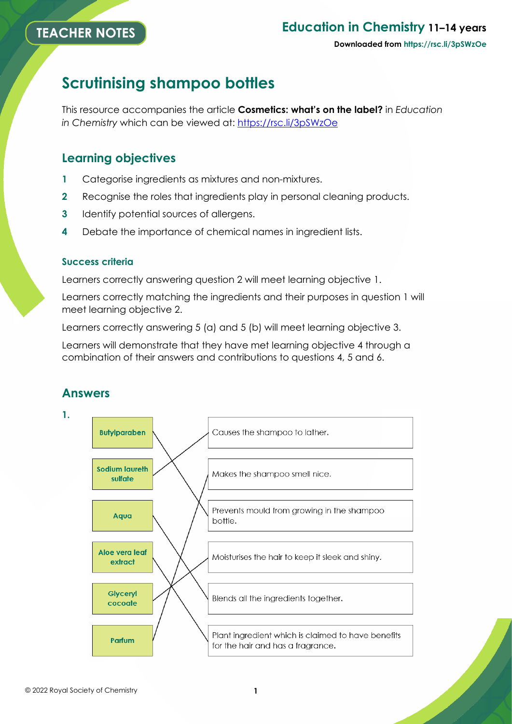## **Education in Chemistry 11–14 years**

#### **Downloaded from https://rsc.li/3pSWzOe**

# **Scrutinising shampoo bottles**

This resource accompanies the article **Cosmetics: what's on the label?** in *Education in Chemistry* which can be viewed at:<https://rsc.li/3pSWzOe>

### **Learning objectives**

- **1** Categorise ingredients as mixtures and non-mixtures.
- **2** Recognise the roles that ingredients play in personal cleaning products.
- **3** Identify potential sources of allergens.
- **4** Debate the importance of chemical names in ingredient lists.

### **Success criteria**

Learners correctly answering question 2 will meet learning objective 1.

Learners correctly matching the ingredients and their purposes in question 1 will meet learning objective 2.

Learners correctly answering 5 (a) and 5 (b) will meet learning objective 3.

Learners will demonstrate that they have met learning objective 4 through a combination of their answers and contributions to questions 4, 5 and 6.

## **Answers**

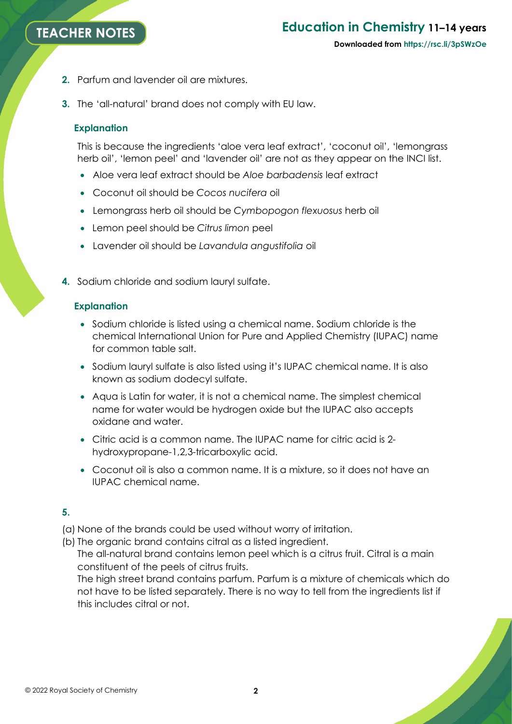## **TEACHER NOTES**

# **Education in Chemistry 11–14 years**

- **2.** Parfum and lavender oil are mixtures.
- **3.** The 'all-natural' brand does not comply with EU law.

### **Explanation**

This is because the ingredients 'aloe vera leaf extract', 'coconut oil', 'lemongrass herb oil', 'lemon peel' and 'lavender oil' are not as they appear on the INCI list.

- Aloe vera leaf extract should be *Aloe barbadensis* leaf extract
- Coconut oil should be *Cocos nucifera* oil
- Lemongrass herb oil should be *Cymbopogon flexuosus* herb oil
- Lemon peel should be *Citrus limon* peel
- Lavender oil should be *Lavandula angustifolia* oil
- **4.** Sodium chloride and sodium lauryl sulfate.

### **Explanation**

- Sodium chloride is listed using a chemical name. Sodium chloride is the chemical International Union for Pure and Applied Chemistry (IUPAC) name for common table salt.
- Sodium lauryl sulfate is also listed using it's IUPAC chemical name. It is also known as sodium dodecyl sulfate.
- Aqua is Latin for water, it is not a chemical name. The simplest chemical name for water would be hydrogen oxide but the IUPAC also accepts oxidane and water.
- Citric acid is a common name. The IUPAC name for citric acid is 2 hydroxypropane-1,2,3-tricarboxylic acid.
- Coconut oil is also a common name. It is a mixture, so it does not have an IUPAC chemical name.

### **5.**

(a) None of the brands could be used without worry of irritation.

(b) The organic brand contains citral as a listed ingredient.

The all-natural brand contains lemon peel which is a citrus fruit. Citral is a main constituent of the peels of citrus fruits.

The high street brand contains parfum. Parfum is a mixture of chemicals which do not have to be listed separately. There is no way to tell from the ingredients list if this includes citral or not.